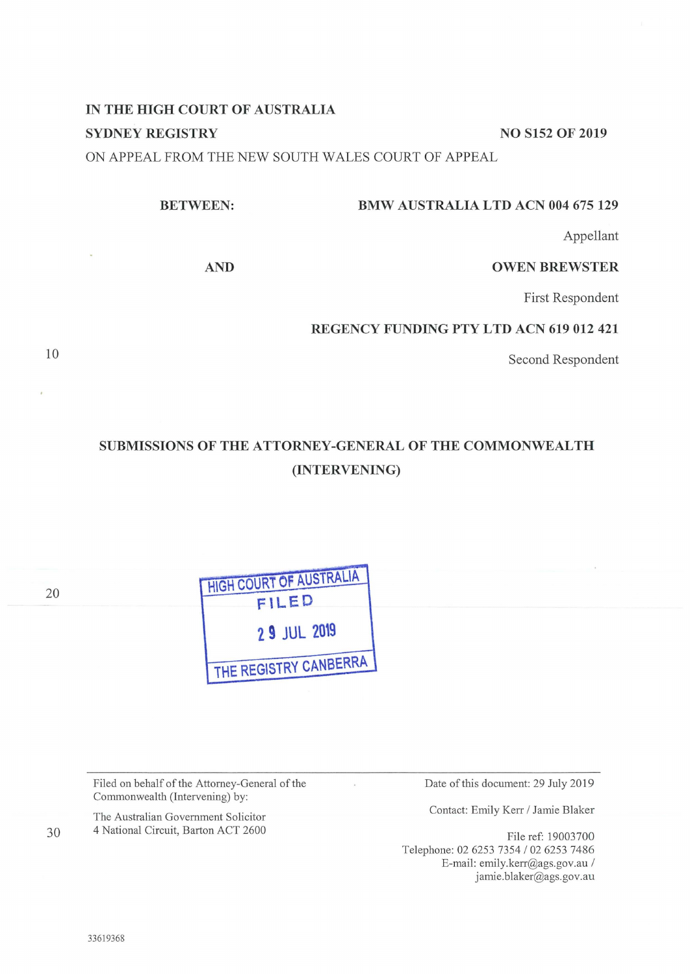# **IN THE HIGH COURT OF AUSTRALIA SYDNEY REGISTRY** NO S152 OF 2019

ON APPEAL FROM THE NEW SOUTH WALES COURT OF APPEAL

#### **BMW AUSTRALIA LTD ACN 004 675 129**

Appellant

**AND** 

**BETWEEN:** 

# **OWEN BREWSTER**

First Respondent

# **REGENCY FUNDING PTY LTD ACN 619 012 421**

Second Respondent

# **SUBMISSIONS OF THE ATTORNEY-GENERAL OF THE COMMONWEALTH (INTERVENING)**

 $\mathbf{y}$ 

| 20 | <b>HIGH COURT OF AUSTRALIA</b><br>FILED |
|----|-----------------------------------------|
|    | 2 9 JUL 2019                            |
|    | THE REGISTRY CANBERRA                   |

Filed on behalf of the Attorney-General of the Commonwealth (Intervening) by:

The Australian Government Solicitor 4 National Circuit, Barton ACT 2600 Date of this document: 29 July 2019

Contact: Emily Kerr / Jamie Blaker

File ref: 19003 700 Telephone: 02 6253 7354 / 02 6253 7486 E-mail: emily.kerr@ags.gov.au / jamie.blaker@ags.gov.au

10

30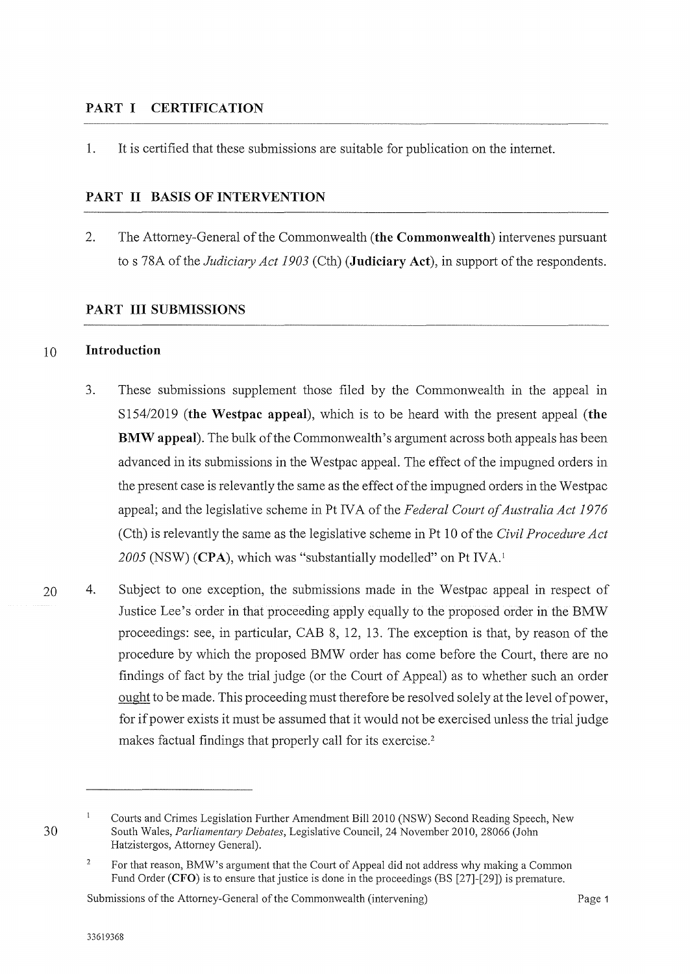#### **PART I CERTIFICATION**

1. It is certified that these submissions are suitable for publication on the internet.

#### **PART II BASIS OF INTERVENTION**

2. The Attorney-General of the Commonwealth **(the Commonwealth)** intervenes pursuant to s 78A of the *Judiciary Act 1903* (Cth) **(Judiciary Act),** in support of the respondents.

#### **PART III SUBMISSIONS**

#### 10 **Introduction**

- 3. These submissions supplement those filed by the Commonwealth in the appeal in S154/2019 **(the Westpac appeal),** which is to be heard with the present appeal **(the BMW appeal).** The bulk of the Commonwealth's argument across both appeals has been advanced in its submissions in the Westpac appeal. The effect of the impugned orders in the present case is relevantly the same as the effect of the impugned orders in the Westpac appeal; and the legislative scheme in Pt IVA of the *Federal Court of Australia Act 1976*  (Cth) is relevantly the same as the legislative scheme in Pt 10 of the *Civil Procedure Act*  2005 (NSW) **(CPA)**, which was "substantially modelled" on Pt IVA.<sup>1</sup>
- 20 4. Subject to one exception, the submissions made in the Westpac appeal in respect of Justice Lee's order in that proceeding apply equally to the proposed order in the BMW proceedings: see, in particular, CAB 8, 12, 13. The exception is that, by reason of the procedure by which the proposed BMW order has come before the Court, there are no findings of fact by the trial judge ( or the Court of Appeal) as to whether such an order ought to be made. This proceeding must therefore be resolved solely at the level of power, for if power exists it must be assumed that it would not be exercised unless the trial judge makes factual findings that properly call for its exercise.<sup>2</sup>

Submissions of the Attorney-General of the Commonwealth (intervening) Page 1

<sup>30</sup> 

 $\mathbf{1}$ Courts and Crimes Legislation Further Amendment Bill 2010 (NSW) Second Reading Speech, New South Wales, *Parliamentary Debates,* Legislative Council, 24 November 2010, 28066 (John Hatzistergos, Attorney General).

 $\overline{2}$ For that reason, BMW's argument that the Court of Appeal did not address why making a Common Fund Order **(CFO)** is to ensure that justice is done in the proceedings (BS [27]-[29]) is premature.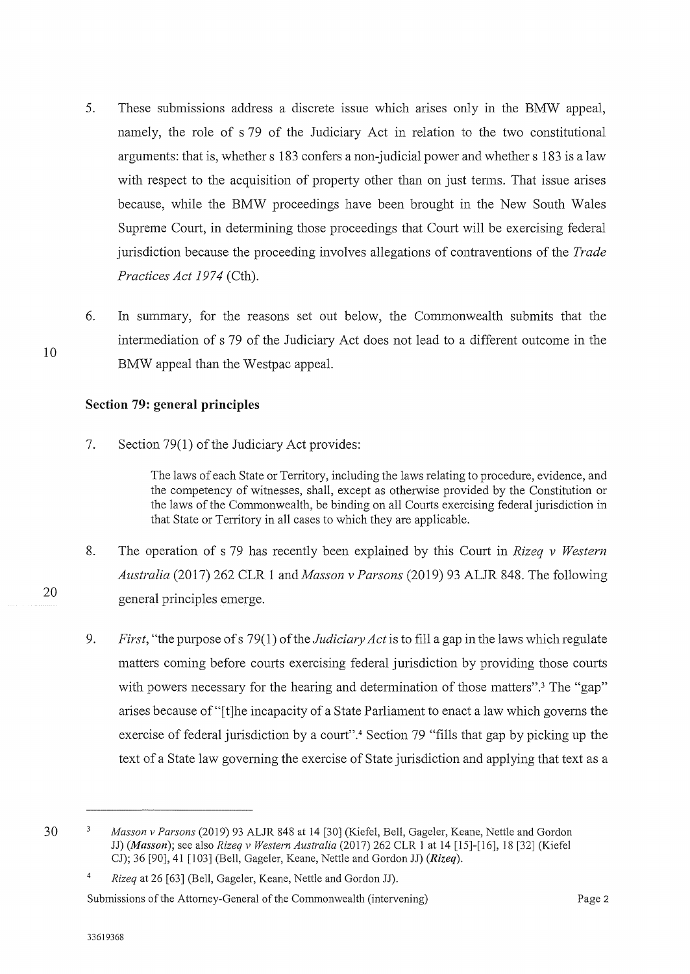- 5. These submissions address a discrete issue which arises only in the BMW appeal, namely, the role of s 79 of the Judiciary Act in relation to the two constitutional arguments: that is, whether s 183 confers a non-judicial power and whether s 183 is a law with respect to the acquisition of property other than on just terms. That issue arises because, while the BMW proceedings have been brought in the New South Wales Supreme Court, in determining those proceedings that Court will be exercising federal jurisdiction because the proceeding involves allegations of contraventions of the *Trade Practices Act 1974* (Cth).
- 6. In summary, for the reasons set out below, the Commonwealth submits that the intermediation of s 79 of the Judiciary Act does not lead to a different outcome in the BMW appeal than the Westpac appeal.

# **Section 79: general principles**

7. Section 79(1) of the Judiciary Act provides:

The laws of each State or Territory, including the laws relating to procedure, evidence, and the competency of witnesses, shall, except as otherwise provided by the Constitution or the laws of the Commonwealth, be binding on all Courts exercising federal jurisdiction in that State or Territory in all cases to which they are applicable.

- 8. The operation of s 79 has recently been explained by this Court in *Rizeq v Western Australia* (2017) 262 CLR 1 and *Masson v Parsons* (2019) 93 ALJR 848. The following general principles emerge.
- 9. *First,* "the purpose of s 79(1) of the *Judiciary Act* is to fill a gap in the laws which regulate matters coming before courts exercising federal jurisdiction by providing those courts with powers necessary for the hearing and determination of those matters".<sup>3</sup> The "gap" arises because of"[t]he incapacity of a State Parliament to enact a law which governs the exercise of federal jurisdiction by a court".4 Section 79 "fills that gap by picking up the text of a State law governing the exercise of State jurisdiction and applying that text as a

10

20

Submissions of the Attorney-General of the Commonwealth (intervening) Page 2

<sup>30</sup> 

 $\ensuremath{\mathbf{3}}$ *Masson v Parsons* (2019) 93 ALJR 848 at 14 [30] (Kiefel, Bell, Gageler, Keane, Nettle and Gordon JJ) *(Masson);* see also *Rizeq v Western Australia* (2017) 262 CLR 1 at 14 [15]-[16], 18 [32] (Kiefel CJ); 36 [90], 41 [103] (Bell, Gageler, Keane, Nettle and Gordon JJ) *(Rizeq).* 

<sup>4</sup>  *Rizeq* at 26 [63] (Bell, Gageler, Keane, Nettle and Gordon JJ).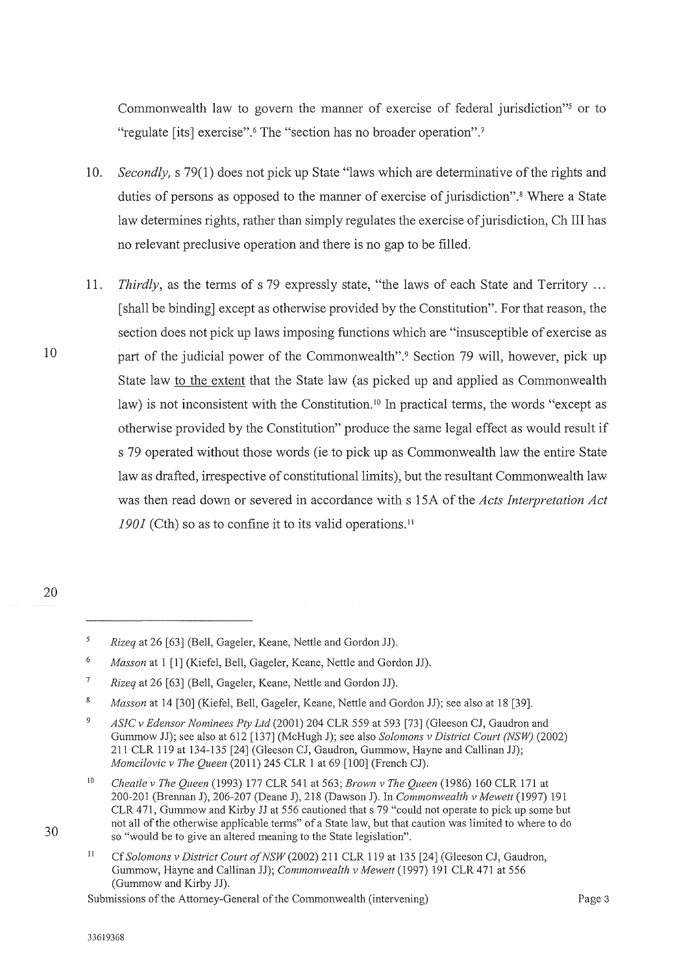Commonwealth law to govern the manner of exercise of federal jurisdiction"<sup>5</sup> or to "regulate [its] exercise".<sup>6</sup> The "section has no broader operation".<sup>7</sup>

- 10. *Secondly,* s 79(1) does not pick up State "laws which are determinative of the rights and duties of persons as opposed to the manner of exercise of jurisdiction".<sup>8</sup> Where a State law determines rights, rather than simply regulates the exercise of jurisdiction, Ch III has no relevant preclusive operation and there is no gap to be filled.
- 11. *Thirdly,* as the terms of s 79 expressly state, "the laws of each State and Territory ... [shall be binding] except as otherwise provided by the Constitution". For that reason, the section does not pick up laws imposing functions which are "insusceptible of exercise as part of the judicial power of the Commonwealth".<sup>9</sup> Section 79 will, however, pick up State law to the extent that the State law ( as picked up and applied as Commonwealth law) is not inconsistent with the Constitution.<sup>10</sup> In practical terms, the words "except as otherwise provided by the Constitution" produce the same legal effect as would result if s 79 operated without those words (ie to pick up as Commonwealth law the entire State law as drafted, irrespective of constitutional limits), but the resultant Commonwealth law was then read down or severed in accordance with s 15A of the *Acts Interpretation Act*  1901 (Cth) so as to confine it to its valid operations.<sup>11</sup>
- 20

30

10

 $\overline{5}$ *Rizeq* at 26 [63] (Bell, Gageler, Keane, Nettle and Gordon JJ).

<sup>6</sup>  *Masson* at 1 [1] (Kiefel, Bell, Gageler, Keane, Nettle and Gordon JJ).

 $\overline{7}$ *Rizeq* at 26 [63] (Bell, Gageler, Keane, Nettle and Gordon JJ).

<sup>8</sup> *Masson* at 14 [30] (Kiefel, Bell, Gageler, Keane, Nettle and Gordon JJ); see also at 18 [39].

 $\overline{Q}$ *ASIC v Edensor Nominees Pty Ltd* (2001) 204 CLR 559 at 593 [73] (Gleeson CJ, Gaudron and Gurnrnow JJ); see also at 612 [137] (McHugh J); see also *Solomons v District Court (NSW)* (2002) 211 CLR 119 at 134-135 [24] (Gleeson CJ, Gaudron, Gummow, Hayne and Callinan JJ); *Momcilovic v 171e Queen* (2011) 245 CLR 1 at 69 [ 100] (French CJ).

<sup>10</sup>  *Cheatle v The Queen* (1993) 177 CLR 541 at 563; *Brown v The Queen* (1986) 160 CLR 171 at 200-201 (Brennan J), 206-207 (Deane J), 218 (Dawson J). In *Commonwealth v Mewett* (1997) 191 CLR 471, Gummow and Kirby JJ at 556 cautioned thats 79 "could not operate to pick up some but not all of the otherwise applicable terms" of a State law, but that caution was limited to where to do so "would be to give an altered meaning to the State legislation".

II Cf *Solomons v District Court of NSW* (2002) 211 CLR 119 at 135 [24] (Gleeson CJ, Gaudron, Gummow, Hayne and Callinan JJ); *Commonwealth v Mewett* (1997) 191 CLR 471 at 556 (Gummow and Kirby JJ).

Submissions of the Attorney-General of the Commonwealth (intervening)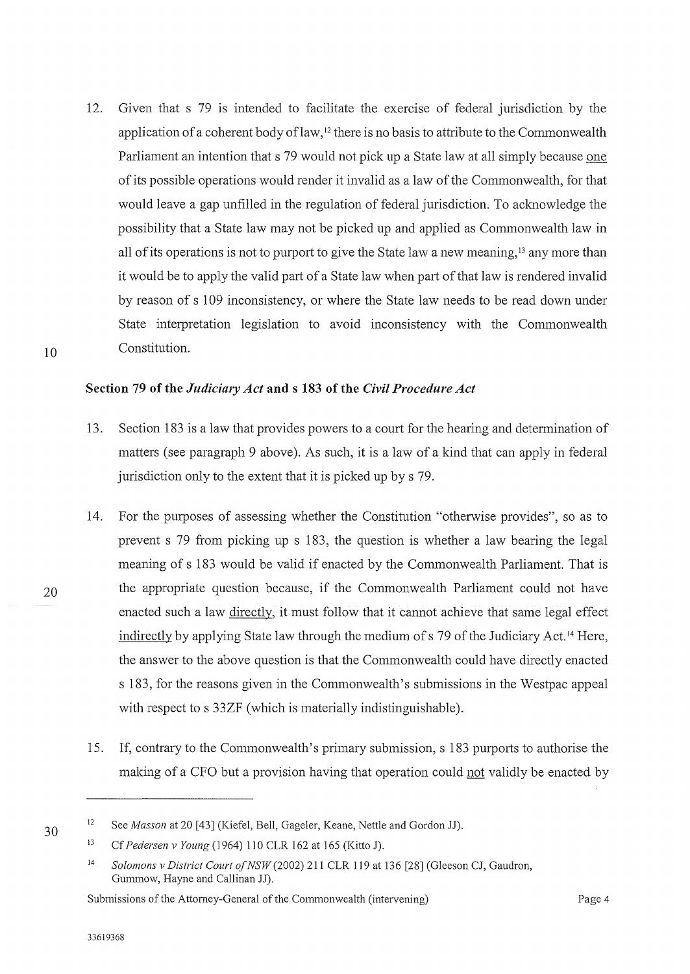12. Given that s 79 is intended to facilitate the exercise of federal jurisdiction by the application of a coherent body of law,<sup>12</sup> there is no basis to attribute to the Commonwealth Parliament an intention that s 79 would not pick up a State law at all simply because one of its possible operations would render it invalid as a law of the Commonwealth, for that would leave a gap unfilled in the regulation of federal jurisdiction. To acknowledge the possibility that a State law may not be picked up and applied as Commonwealth law in all of its operations is not to purport to give the State law a new meaning, 13 any more than it would be to apply the valid part of a State law when part of that law is rendered invalid by reason of s 109 inconsistency, or where the State law needs to be read down under State interpretation legislation to avoid inconsistency with the Commonwealth Constitution.

#### Section 79 of the *Judiciary Act* and s 183 of the *Civil Procedure Act*

- 13. Section 183 is a law that provides powers to a court for the hearing and determination of matters (see paragraph 9 above). As such, it is a law of a kind that can apply in federal jurisdiction only to the extent that it is picked up bys 79.
- 14. For the purposes of assessing whether the Constitution "otherwise provides", so as to prevent s 79 from picking up s 183, the question is whether a law bearing the legal meaning of s 183 would be valid if enacted by the Commonwealth Parliament. That is the appropriate question because, if the Commonwealth Parliament could not have enacted such a law directly, it must follow that it cannot achieve that same legal effect indirectly by applying State law through the medium of s 79 of the Judiciary Act.<sup>14</sup> Here, the answer to the above question is that the Commonwealth could have directly enacted s 183, for the reasons given in the Commonwealth's submissions in the Westpac appeal with respect to s 33ZF (which is materially indistinguishable).
- 15. If, contrary to the Commonwealth's primary submission, s 183 purports to authorise the making of a CFO but a provision having that operation could not validly be enacted by

30

10

<sup>12</sup>  See *Masson* at 20 [43] (Kiefel, Bell, Gageler, Keane, Nettle and Gordon JJ).

<sup>13</sup>  Cf *Pedersen v Young* (1964) 110 CLR 162 at 165 (Kitto J).

<sup>14</sup>  *Solomons v District Court ofNSW(2002)* 211 CLR 119 at 136 [28] (Gleeson CJ, Gaudron, Gummow, Hayne and Callinan JJ).

Submissions of the Attorney-General of the Commonwealth (intervening)